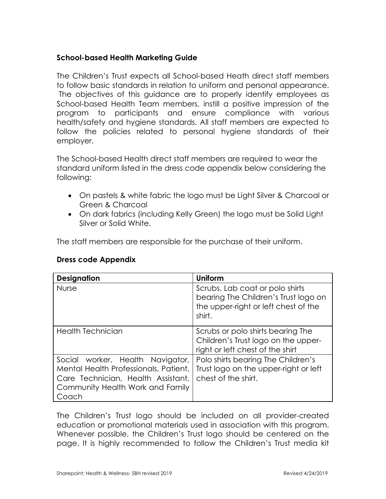## **School-based Health Marketing Guide**

 The Children's Trust expects all School-based Heath direct staff members to follow basic standards in relation to uniform and personal appearance. The objectives of this guidance are to properly identify employees as School-based Health Team members, instill a positive impression of the program to participants and ensure compliance with various health/safety and hygiene standards. All staff members are expected to follow the policies related to personal hygiene standards of their employer.

 The School-based Health direct staff members are required to wear the standard uniform listed in the dress code appendix below considering the following:

- • On pastels & white fabric the logo must be Light Silver & Charcoal or Green & Charcoal
- • On dark fabrics (including Kelly Green) the logo must be Solid Light Silver or Solid White.

The staff members are responsible for the purchase of their uniform.

| <b>Designation</b>                                                                                                                                           | Uniform                                                                                                                   |
|--------------------------------------------------------------------------------------------------------------------------------------------------------------|---------------------------------------------------------------------------------------------------------------------------|
| <b>Nurse</b>                                                                                                                                                 | Scrubs, Lab coat or polo shirts<br>bearing The Children's Trust logo on<br>the upper-right or left chest of the<br>shirt. |
| <b>Health Technician</b>                                                                                                                                     | Scrubs or polo shirts bearing The<br>Children's Trust logo on the upper-<br>right or left chest of the shirt              |
| Social worker, Health Navigator,<br>Mental Health Professionals, Patient,<br>Care Technician, Health Assistant,<br>Community Health Work and Family<br>Coach | Polo shirts bearing The Children's<br>Trust logo on the upper-right or left<br>chest of the shirt.                        |

## **Dress code Appendix**

 The Children's Trust logo should be included on all provider-created education or promotional materials used in association with this program. Whenever possible, the Children's Trust logo should be centered on the page. It is highly recommended to follow the Children's Trust media kit